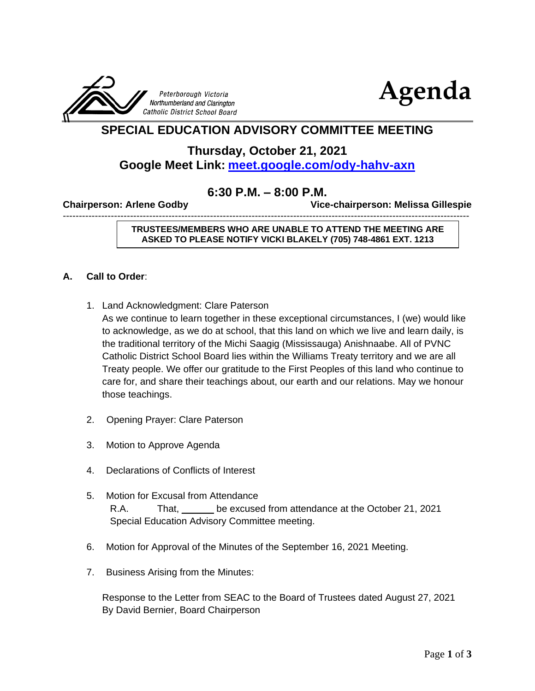



## **SPECIAL EDUCATION ADVISORY COMMITTEE MEETING**

## **Thursday, October 21, 2021 Google Meet Link: <meet.google.com/ody-hahv-axn>**

## **6:30 P.M. – 8:00 P.M.**

-------------------------------------------------------------------------------------------------------------------------------

**Chairperson: Arlene Godby Vice-chairperson: Melissa Gillespie** 

**TRUSTEES/MEMBERS WHO ARE UNABLE TO ATTEND THE MEETING ARE ASKED TO PLEASE NOTIFY VICKI BLAKELY (705) 748-4861 EXT. 1213**

#### **A. Call to Order**:

1. Land Acknowledgment: Clare Paterson

As we continue to learn together in these exceptional circumstances, I (we) would like to acknowledge, as we do at school, that this land on which we live and learn daily, is the traditional territory of the Michi Saagig (Mississauga) Anishnaabe. All of PVNC Catholic District School Board lies within the Williams Treaty territory and we are all Treaty people. We offer our gratitude to the First Peoples of this land who continue to care for, and share their teachings about, our earth and our relations. May we honour those teachings.

- 2. Opening Prayer: Clare Paterson
- 3. Motion to Approve Agenda
- 4. Declarations of Conflicts of Interest
- 5. Motion for Excusal from Attendance R.A. That, be excused from attendance at the October 21, 2021 Special Education Advisory Committee meeting.
- 6. Motion for Approval of the Minutes of the September 16, 2021 Meeting.
- 7. Business Arising from the Minutes:

Response to the Letter from SEAC to the Board of Trustees dated August 27, 2021 By David Bernier, Board Chairperson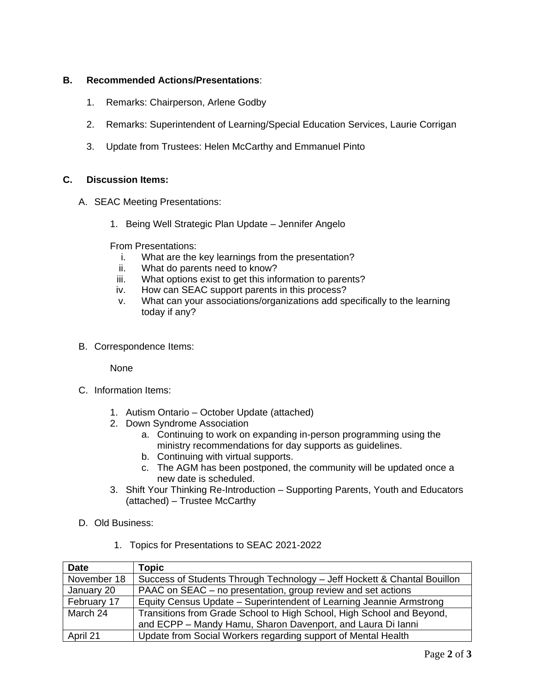#### **B. Recommended Actions/Presentations**:

- 1. Remarks: Chairperson, Arlene Godby
- 2. Remarks: Superintendent of Learning/Special Education Services, Laurie Corrigan
- 3. Update from Trustees: Helen McCarthy and Emmanuel Pinto

#### **C. Discussion Items:**

- A. SEAC Meeting Presentations:
	- 1. Being Well Strategic Plan Update Jennifer Angelo

From Presentations:

- i. What are the key learnings from the presentation?
- ii. What do parents need to know?
- iii. What options exist to get this information to parents?
- iv. How can SEAC support parents in this process?
- v. What can your associations/organizations add specifically to the learning today if any?
- B. Correspondence Items:

None

- C. Information Items:
	- 1. Autism Ontario October Update (attached)
	- 2. Down Syndrome Association
		- a. Continuing to work on expanding in-person programming using the ministry recommendations for day supports as guidelines.
		- b. Continuing with virtual supports.
		- c. The AGM has been postponed, the community will be updated once a new date is scheduled.
	- 3. Shift Your Thinking Re-Introduction Supporting Parents, Youth and Educators (attached) – Trustee McCarthy
- D. Old Business:
	- 1. Topics for Presentations to SEAC 2021-2022

| <b>Date</b> | Topic                                                                    |
|-------------|--------------------------------------------------------------------------|
| November 18 | Success of Students Through Technology - Jeff Hockett & Chantal Bouillon |
| January 20  | PAAC on SEAC – no presentation, group review and set actions             |
| February 17 | Equity Census Update - Superintendent of Learning Jeannie Armstrong      |
| March 24    | Transitions from Grade School to High School, High School and Beyond,    |
|             | and ECPP - Mandy Hamu, Sharon Davenport, and Laura Di lanni              |
| April 21    | Update from Social Workers regarding support of Mental Health            |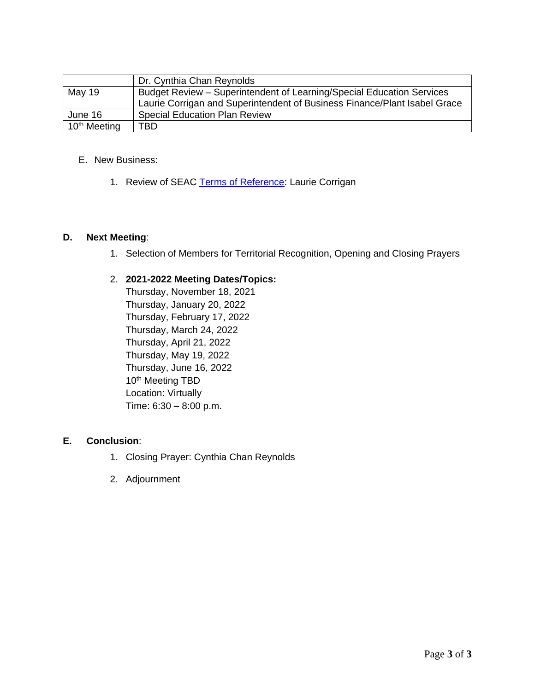|                          | Dr. Cynthia Chan Reynolds                                                 |
|--------------------------|---------------------------------------------------------------------------|
| May 19                   | Budget Review - Superintendent of Learning/Special Education Services     |
|                          | Laurie Corrigan and Superintendent of Business Finance/Plant Isabel Grace |
| June 16                  | <b>Special Education Plan Review</b>                                      |
| 10 <sup>th</sup> Meeting | TBD                                                                       |

#### E. New Business:

1. Review of SEAC [Terms of Reference:](https://www.pvnccdsb.on.ca/wp-content/uploads/2018/10/Committee-Terms-of-Reference-Nov-27-2018-FINAL.pdf) Laurie Corrigan

#### **D. Next Meeting**:

1. Selection of Members for Territorial Recognition, Opening and Closing Prayers

#### 2. **2021-2022 Meeting Dates/Topics:**

Thursday, November 18, 2021 Thursday, January 20, 2022 Thursday, February 17, 2022 Thursday, March 24, 2022 Thursday, April 21, 2022 Thursday, May 19, 2022 Thursday, June 16, 2022 10<sup>th</sup> Meeting TBD Location: Virtually Time: 6:30 – 8:00 p.m.

#### **E. Conclusion**:

- 1. Closing Prayer: Cynthia Chan Reynolds
- 2. Adjournment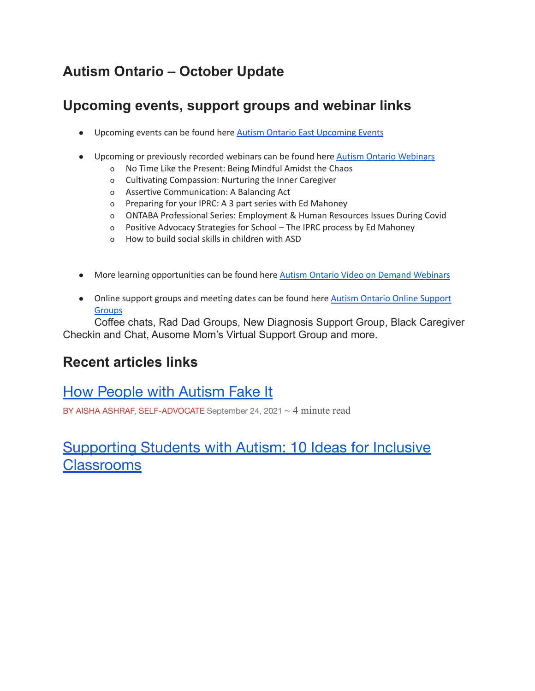# **Autism Ontario – October Update**

# **Upcoming events, support groups and webinar links**

- Upcoming events can be found here Autism Ontario East [Upcoming](https://www.autismontario.com/events?custom_326=East&custom_325=All&event_type_id=All&custom_356=All) Events
- Upcoming or previously recorded webinars can be found here Autism Ontario [Webinars](https://www.autismontario.com/events?custom_325=All&event_type_id=17)
	- o No Time Like the Present: Being Mindful Amidst the Chaos
	- o Cultivating Compassion: Nurturing the Inner Caregiver
	- o Assertive Communication: A Balancing Act
	- o Preparing for your IPRC: A 3 part series with Ed Mahoney
	- o ONTABA Professional Series: Employment & Human Resources Issues During Covid
	- o Positive Advocacy Strategies for School The IPRC process by Ed Mahoney
	- o How to build social skills in children with ASD
- More learning opportunities can be found here Autism Ontario Video on Demand [Webinars](https://www.autismontario.com/search?search_api_fulltext=webinar&f%5B0%5D=type%3Alearning_resource)
- Online support groups and meeting dates can be found here Autism Ontario Online [Support](https://www.autismontario.com/events?custom_325=All&event_type_id=20) **[Groups](https://www.autismontario.com/events?custom_325=All&event_type_id=20)**

Coffee chats, Rad Dad Groups, New Diagnosis Support Group, Black Caregiver Checkin and Chat, Ausome Mom's Virtual Support Group and more.

## **Recent articles links**

## How People with [Autism](https://www.autismontario.com/news/how-people-autism-fake-it) Fake It

BY AISHA ASHRAF, SELF-ADVOCATE September 24, 2021  $\sim$  4 minute read

# [Supporting](https://www.autismontario.com/news/supporting-students-autism-10-ideas-inclusive-classrooms) Students with Autism: 10 Ideas for Inclusive **[Classrooms](https://www.autismontario.com/news/supporting-students-autism-10-ideas-inclusive-classrooms)**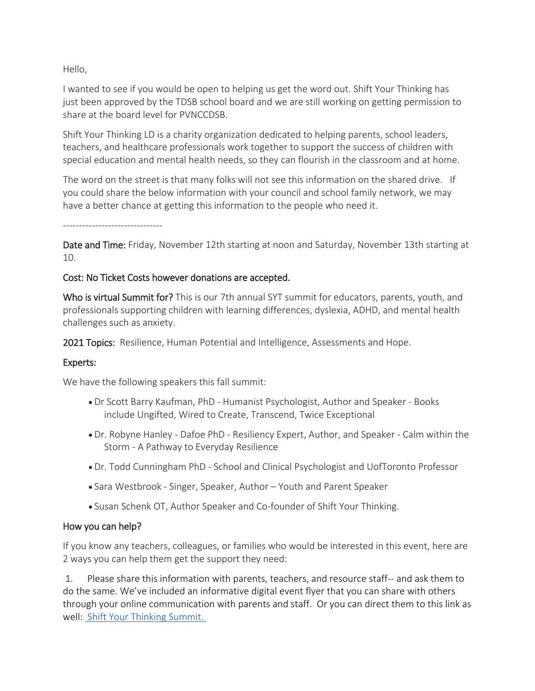Hello,

I wanted to see if you would be open to helping us get the word out. Shift Your Thinking has just been approved by the TDSB school board and we are still working on getting permission to share at the board level for PVNCCDSB.

Shift Your Thinking LD is a charity organization dedicated to helping parents, school leaders, teachers, and healthcare professionals work together to support the success of children with special education and mental health needs, so they can flourish in the classroom and at home.

The word on the street is that many folks will not see this information on the shared drive. If you could share the below information with your council and school family network, we may have a better chance at getting this information to the people who need it.

-------------------------------

Date and Time: Friday, November 12th starting at noon and Saturday, November 13th starting at 10.

### Cost: No Ticket Costs however donations are accepted.

Who is virtual Summit for? This is our 7th annual SYT summit for educators, parents, youth, and professionals supporting children with learning differences, dyslexia, ADHD, and mental health challenges such as anxiety.

2021 Topics: Resilience, Human Potential and Intelligence, Assessments and Hope.

## Experts:

We have the following speakers this fall summit:

- Dr Scott Barry Kaufman, PhD Humanist Psychologist, Author and Speaker Books include Ungifted, Wired to Create, Transcend, Twice Exceptional
- Dr. Robyne Hanley Dafoe PhD Resiliency Expert, Author, and Speaker Calm within the Storm - A Pathway to Everyday Resilience
- Dr. Todd Cunningham PhD School and Clinical Psychologist and UofToronto Professor
- Sara Westbrook Singer, Speaker, Author Youth and Parent Speaker
- Susan Schenk OT, Author Speaker and Co-founder of Shift Your Thinking.

## How you can help?

If you know any teachers, colleagues, or families who would be interested in this event, here are 2 ways you can help them get the support they need:

1. Please share this information with parents, teachers, and resource staff-- and ask them to do the same. We've included an informative digital event flyer that you can share with others through your online communication with parents and staff. Or you can direct them to this link as well: [Shift Your Thinking Summit.](http://www.shiftyourthinkingld.com/summit)